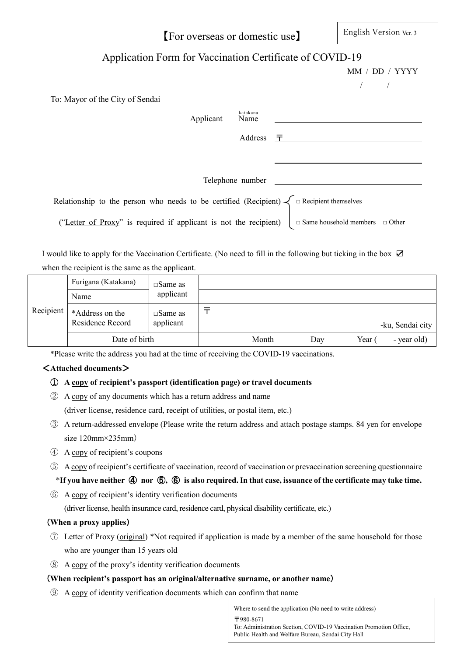【For overseas or domestic use】

English Version Ver. 3

# Application Form for Vaccination Certificate of COVID-19

|                                                                                                        |                  | MM / DD / YYYY                             |
|--------------------------------------------------------------------------------------------------------|------------------|--------------------------------------------|
|                                                                                                        |                  |                                            |
| To: Mayor of the City of Sendai                                                                        |                  |                                            |
| Applicant                                                                                              | katakana<br>Name |                                            |
|                                                                                                        | Address          | 一干                                         |
|                                                                                                        |                  |                                            |
|                                                                                                        | Telephone number |                                            |
| Relationship to the person who needs to be certified (Recipient) $\bigwedge \Box$ Recipient themselves |                  |                                            |
| ("Letter of Proxy" is required if applicant is not the recipient)                                      |                  | $\Box$ Same household members $\Box$ Other |

I would like to apply for the Vaccination Certificate. (No need to fill in the following but ticking in the box ☑ when the recipient is the same as the applicant.

|           | Furigana (Katakana)                 | $\square$ Same as              |       |     |      |                  |
|-----------|-------------------------------------|--------------------------------|-------|-----|------|------------------|
|           | Name                                | applicant                      |       |     |      |                  |
| Recipient | *Address on the<br>Residence Record | $\square$ Same as<br>applicant |       |     |      | -ku, Sendai city |
|           | Date of birth                       |                                | Month | Day | Year | - year old)      |

\*Please write the address you had at the time of receiving the COVID-19 vaccinations.

## <**Attached documents**>

## ① **A copy of recipient's passport (identification page) or travel documents**

② A copy of any documents which has a return address and name

(driver license, residence card, receipt of utilities, or postal item, etc.)

- ③ A return-addressed envelope (Please write the return address and attach postage stamps. 84 yen for envelope size 120mm×235mm)
- ④ A copy of recipient's coupons
- ⑤ A copy of recipient's certificate of vaccination, record of vaccination or prevaccination screening questionnaire

## \***If you have neither** ④ **nor** ⑤**,** ⑥ **is also required. In that case, issuance of the certificate may take time.**

⑥ A copy of recipient's identity verification documents

(driver license, health insurance card, residence card, physical disability certificate, etc.)

## (**When a proxy applies**)

- ⑦ Letter of Proxy (original) \*Not required if application is made by a member of the same household for those who are younger than 15 years old
- ⑧ A copy of the proxy's identity verification documents

## (**When recipient's passport has an original/alternative surname, or another name**)

⑨ A copy of identity verification documents which can confirm that name

Where to send the application (No need to write address) 〒980-8671 To: Administration Section, COVID-19 Vaccination Promotion Office, Public Health and Welfare Bureau, Sendai City Hall